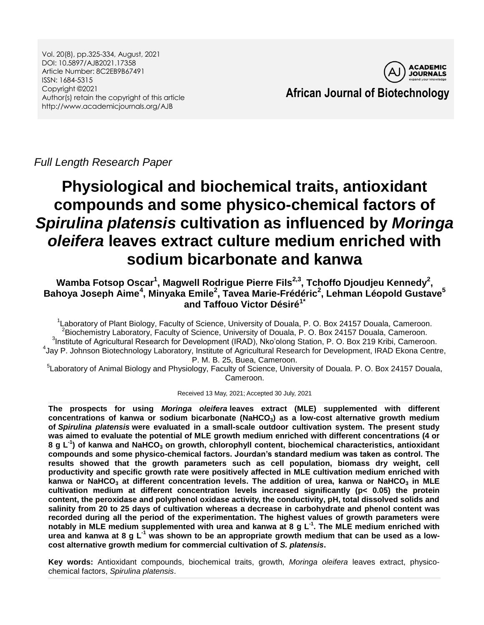Vol. 20(8), pp.325-334, August, 2021 DOI: 10.5897/AJB2021.17358 Article Number: 8C2EB9B67491 ISSN: 1684-5315 Copyright ©2021 Author(s) retain the copyright of this article http://www.academicjournals.org/AJB



**African Journal of Biotechnology**

*Full Length Research Paper*

# **Physiological and biochemical traits, antioxidant compounds and some physico-chemical factors of**  *Spirulina platensis* **cultivation as influenced by** *Moringa oleifera* **leaves extract culture medium enriched with sodium bicarbonate and kanwa**

# **Wamba Fotsop Oscar<sup>1</sup> , Magwell Rodrigue Pierre Fils2,3 , Tchoffo Djoudjeu Kennedy<sup>2</sup> , Bahoya Joseph Aime<sup>4</sup> , Minyaka Emile<sup>2</sup> , Tavea Marie-Frédéric<sup>2</sup> , Lehman Léopold Gustave<sup>5</sup> and Taffouo Victor Désiré1\***

<sup>1</sup> Laboratory of Plant Biology, Faculty of Science, University of Douala, P. O. Box 24157 Douala, Cameroon. 2 Biochemistry Laboratory, Faculty of Science, University of Douala, P. O. Box 24157 Douala, Cameroon. <sup>3</sup>Institute of Agricultural Research for Development (IRAD), Nko'olong Station, P. O. Box 219 Kribi, Cameroon. 4 Jay P. Johnson Biotechnology Laboratory, Institute of Agricultural Research for Development, IRAD Ekona Centre, P. M. B. 25, Buea, Cameroon.

<sup>5</sup>Laboratory of Animal Biology and Physiology, Faculty of Science, University of Douala. P. O. Box 24157 Douala, Cameroon.

Received 13 May, 2021; Accepted 30 July, 2021

**The prospects for using** *Moringa oleifera* **leaves extract (MLE) supplemented with different concentrations of kanwa or sodium bicarbonate (NaHCO3) as a low-cost alternative growth medium of** *Spirulina platensis* **were evaluated in a small-scale outdoor cultivation system. The present study was aimed to evaluate the potential of MLE growth medium enriched with different concentrations (4 or 8 g L-1 ) of kanwa and NaHCO<sup>3</sup> on growth, chlorophyll content, biochemical characteristics, antioxidant compounds and some physico-chemical factors. Jourdan's standard medium was taken as control. The results showed that the growth parameters such as cell population, biomass dry weight, cell productivity and specific growth rate were positively affected in MLE cultivation medium enriched with kanwa or NaHCO<sup>3</sup> at different concentration levels. The addition of urea, kanwa or NaHCO<sup>3</sup> in MLE cultivation medium at different concentration levels increased significantly (p< 0.05) the protein content, the peroxidase and polyphenol oxidase activity, the conductivity, pH, total dissolved solids and salinity from 20 to 25 days of cultivation whereas a decrease in carbohydrate and phenol content was recorded during all the period of the experimentation. The highest values of growth parameters were notably in MLE medium supplemented with urea and kanwa at 8 g L-1 . The MLE medium enriched with urea and kanwa at 8 g L-1 was shown to be an appropriate growth medium that can be used as a lowcost alternative growth medium for commercial cultivation of** *S. platensis***.**

**Key words:** Antioxidant compounds, biochemical traits, growth, *Moringa oleifera* leaves extract, physicochemical factors, *Spirulina platensis*.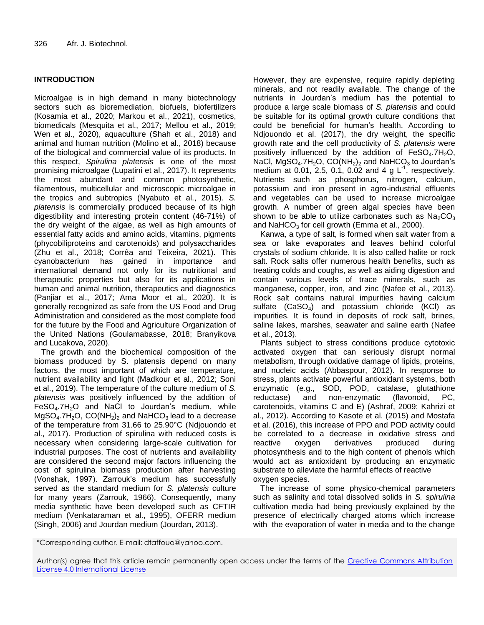# **INTRODUCTION**

Microalgae is in high demand in many biotechnology sectors such as bioremediation, biofuels, biofertilizers (Kosamia et al., 2020; Markou et al., 2021), cosmetics, biomedicals (Mesquita et al., 2017; Mellou et al., 2019; Wen et al., 2020), aquaculture (Shah et al., 2018) and animal and human nutrition (Molino et al., 2018) because of the biological and commercial value of its products. In this respect, *Spirulina platensis* is one of the most promising microalgae (Lupatini et al., 2017). It represents the most abundant and common photosynthetic, filamentous, multicellular and microscopic microalgae in the tropics and subtropics (Nyabuto et al., 2015). *S. platensis* is commercially produced because of its high digestibility and interesting protein content (46-71%) of the dry weight of the algae, as well as high amounts of essential fatty acids and amino acids, vitamins, pigments (phycobiliproteins and carotenoids) and polysaccharides (Zhu et al., 2018; Corrêa and Teixeira, 2021). This cyanobacterium has gained in importance and international demand not only for its nutritional and therapeutic properties but also for its applications in human and animal nutrition, therapeutics and diagnostics (Panjiar et al., 2017; Ama Moor et al.*,* 2020). It is generally recognized as safe from the US Food and Drug Administration and considered as the most complete food for the future by the Food and Agriculture Organization of the United Nations (Goulamabasse, 2018; Branyikova and Lucakova, 2020).

The growth and the biochemical composition of the biomass produced by S. platensis depend on many factors, the most important of which are temperature, nutrient availability and light (Madkour et al., 2012; Soni et al., 2019). The temperature of the culture medium of *S. platensis* was positively influenced by the addition of  $FeSO<sub>4</sub>.7H<sub>2</sub>O$  and NaCl to Jourdan's medium, while  $MgSO<sub>4</sub>.7H<sub>2</sub>O, CO(NH<sub>2</sub>)<sub>2</sub>$  and NaHCO<sub>3</sub> lead to a decrease of the temperature from 31.66 to 25.90°C (Ndjouondo et al., 2017). Production of spirulina with reduced costs is necessary when considering large-scale cultivation for industrial purposes. The cost of nutrients and availability are considered the second major factors influencing the cost of spirulina biomass production after harvesting (Vonshak, 1997). Zarrouk's medium has successfully served as the standard medium for *S. platensis* culture for many years (Zarrouk, 1966). Consequently, many media synthetic have been developed such as CFTIR medium (Venkataraman et al., 1995), OFERR medium (Singh, 2006) and Jourdan medium (Jourdan, 2013).

However, they are expensive, require rapidly depleting minerals, and not readily available. The change of the nutrients in Jourdan's medium has the potential to produce a large scale biomass of *S. platensis* and could be suitable for its optimal growth culture conditions that could be beneficial for human's health. According to Ndjouondo et al. (2017), the dry weight, the specific growth rate and the cell productivity of *S. platensis* were positively influenced by the addition of  $FeSO<sub>4</sub>$ .7H<sub>2</sub>O, NaCl,  $MgSO_4.7H_2O$ ,  $CO(NH_2)_2$  and NaHCO<sub>3</sub> to Jourdan's medium at 0.01, 2.5, 0.1, 0.02 and 4 g  $L^{-1}$ , respectively. Nutrients such as phosphorus, nitrogen, calcium, potassium and iron present in agro-industrial effluents and vegetables can be used to increase microalgae growth. A number of green algal species have been shown to be able to utilize carbonates such as  $Na<sub>2</sub>CO<sub>3</sub>$ and NaHCO<sub>3</sub> for cell growth (Emma et al., 2000).

Kanwa, a type of salt, is formed when salt water from a sea or lake evaporates and leaves behind colorful crystals of sodium chloride. It is also called halite or rock salt. Rock salts offer numerous health benefits, such as treating colds and coughs, as well as aiding digestion and contain various levels of trace minerals, such as manganese, copper, iron, and zinc (Nafee et al., 2013). Rock salt contains natural impurities having calcium sulfate  $(CaSO<sub>4</sub>)$  and potassium chloride (KCI) as impurities. It is found in deposits of rock salt, brines, saline lakes, marshes, seawater and saline earth (Nafee et al., 2013).

Plants subject to stress conditions produce cytotoxic activated oxygen that can seriously disrupt normal metabolism, through oxidative damage of lipids, proteins, and nucleic acids (Abbaspour, 2012). In response to stress, plants activate powerful antioxidant systems, both enzymatic (e.g., SOD, POD, catalase, glutathione reductase) and non-enzymatic (flavonoid, PC, carotenoids, vitamins C and E) (Ashraf, 2009; Kahrizi et al., 2012). According to Kasote et al. (2015) and Mostafa et al. (2016), this increase of PPO and POD activity could be correlated to a decrease in oxidative stress and reactive oxygen derivatives produced during photosynthesis and to the high content of phenols which would act as antioxidant by producing an enzymatic substrate to alleviate the harmful effects of reactive oxygen species.

The increase of some physico-chemical parameters such as salinity and total dissolved solids in *S. spirulina* cultivation media had being previously explained by the presence of electrically charged atoms which increase with the evaporation of water in media and to the change

<sup>\*</sup>Corresponding author. E-mail: dtaffouo@yahoo.com.

Author(s) agree that this article remain permanently open access under the terms of the Creative Commons Attribution [License 4.0 International License](http://creativecommons.org/licenses/by/4.0/deed.en_US)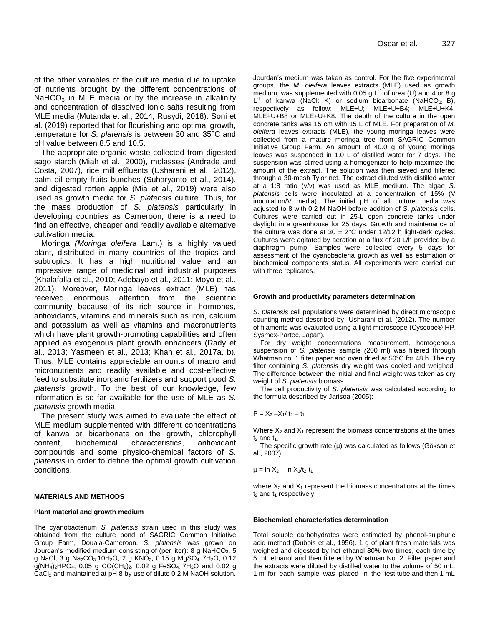of the other variables of the culture media due to uptake of nutrients brought by the different concentrations of NaHCO<sub>3</sub> in MLE media or by the increase in alkalinity and concentration of dissolved ionic salts resulting from MLE media (Mutanda et al., 2014; Rusydi, 2018). Soni et al. (2019) reported that for flourishing and optimal growth, temperature for *S. platensis* is between 30 and 35°C and pH value between 8.5 and 10.5.

The appropriate organic waste collected from digested sago starch (Miah et al., 2000), molasses (Andrade and Costa, 2007), rice mill effluents (Usharani et al., 2012), palm oil empty fruits bunches (Suharyanto et al., 2014), and digested rotten apple (Mia et al., 2019) were also used as growth media for *S. platensis* culture. Thus, for the mass production of *S. platensis* particularly in developing countries as Cameroon, there is a need to find an effective, cheaper and readily available alternative cultivation media.

Moringa *(Moringa oleifera* Lam.) is a highly valued plant, distributed in many countries of the tropics and subtropics. It has a high nutritional value and an impressive range of medicinal and industrial purposes (Khalafalla et al., 2010; Adebayo et al., 2011; Moyo et al., 2011). Moreover, Moringa leaves extract (MLE) has received enormous attention from the scientific community because of its rich source in hormones, antioxidants, vitamins and minerals such as iron, calcium and potassium as well as vitamins and macronutrients which have plant growth-promoting capabilities and often applied as exogenous plant growth enhancers (Rady et al., 2013; Yasmeen et al., 2013; Khan et al., 2017a, b). Thus, MLE contains appreciable amounts of macro and micronutrients and readily available and cost-effective feed to substitute inorganic fertilizers and support good *S. platensis* growth. To the best of our knowledge, few information is so far available for the use of MLE as *S. platensis* growth media.

The present study was aimed to evaluate the effect of MLE medium supplemented with different concentrations of kanwa or bicarbonate on the growth, chlorophyll content, biochemical characteristics, antioxidant compounds and some physico-chemical factors of *S. platensis* in order to define the optimal growth cultivation conditions.

## **MATERIALS AND METHODS**

#### **Plant material and growth medium**

The cyanobacterium *S. platensis* strain used in this study was obtained from the culture pond of SAGRIC Common Initiative Group Farm, Douala-Cameroon. *S. platensis* was grown on Jourdan's modified medium consisting of (per liter): 8 g  $NaHCO<sub>3</sub>$ , 5 g NaCl, 3 g Na<sub>2</sub>CO<sub>3</sub>.10H<sub>2</sub>O, 2 g KNO<sub>3</sub>, 0.15 g MgSO<sub>4</sub>. 7H<sub>2</sub>O, 0.12  $g(NH_4)_2HPO_4$ , 0.05 g CO(CH<sub>2</sub>)<sub>2</sub>, 0.02 g FeSO<sub>4</sub>. 7H<sub>2</sub>O and 0.02 g CaCl<sub>2</sub> and maintained at pH 8 by use of dilute 0.2 M NaOH solution.

Jourdan's medium was taken as control. For the five experimental groups, the *M. oleifera* leaves extracts (MLE) used as growth medium, was supplemented with 0.05 g  $L^{-1}$  of urea (U) and 4 or 8 g  $L^{-1}$  of kanwa (NaCl: K) or sodium bicarbonate (NaHCO<sub>3:</sub> B), respectively as follow: MLE+U; MLE+U+B4; MLE+U+K4, MLE+U+B8 or MLE+U+K8. The depth of the culture in the open concrete tanks was 15 cm with 15 L of MLE. For preparation of *M. oleifera* leaves extracts (MLE), the young moringa leaves were collected from a mature moringa tree from SAGRIC Common Initiative Group Farm. An amount of 40.0 g of young moringa leaves was suspended in 1.0 L of distilled water for 7 days. The suspension was stirred using a homogenizer to help maximize the amount of the extract. The solution was then sieved and filtered through a 30-mesh Tylor net. The extract diluted with distilled water at a 1:8 ratio (v/v) was used as MLE medium. The algae *S*. *platensis* cells were inoculated at a concentration of 15% (V inoculation/V media). The initial pH of all culture media was adjusted to 8 with 0.2 M NaOH before addition of *S*. *platensis* cells. Cultures were carried out in 25-L open concrete tanks under daylight in a greenhouse for 25 days. Growth and maintenance of the culture was done at  $30 \pm 2^{\circ}$ C under 12/12 h light-dark cycles. Cultures were agitated by aeration at a flux of 20 L/h provided by a diaphragm pump. Samples were collected every 5 days for assessment of the cyanobacteria growth as well as estimation of biochemical components status. All experiments were carried out with three replicates.

#### **Growth and productivity parameters determination**

*S. platensis* cell populations were determined by direct microscopic counting method described by Usharani et al. (2012). The number of filaments was evaluated using a light microscope (Cyscope® HP, Sysmex-Partec, Japan).

For dry weight concentrations measurement, homogenous suspension of *S. platensis* sample *(*200 ml) was filtered through Whatman no. 1 filter paper and oven dried at 50°C for 48 h. The dry filter containing *S. platensis* dry weight was cooled and weighed. The difference between the initial and final weight was taken as dry weight of *S. platensis* biomass.

The cell productivity of *S. platensis* was calculated according to the formula described by Jarisoa (2005):

$$
P = X_2 - X_1 / t_2 - t_1
$$

Where  $X_2$  and  $X_1$  represent the biomass concentrations at the times  $t_2$  and  $t_4$ .

The specific growth rate (µ) was calculated as follows (Göksan et al., 2007):

 $\mu = \ln X_2 - \ln X_1/t_2-t_1$ 

where  $X_2$  and  $X_1$  represent the biomass concentrations at the times  $t_2$  and  $t_1$  respectively.

#### **Biochemical characteristics determination**

Total soluble carbohydrates were estimated by phenol-sulphuric acid method (Dubois et al., 1956). 1 g of plant fresh materials was weighed and digested by hot ethanol 80% two times, each time by 5 mL ethanol and then filtered by Whatman No. 2. Filter paper and the extracts were diluted by distilled water to the volume of 50 mL. 1 ml for each sample was placed in the test tube and then 1 mL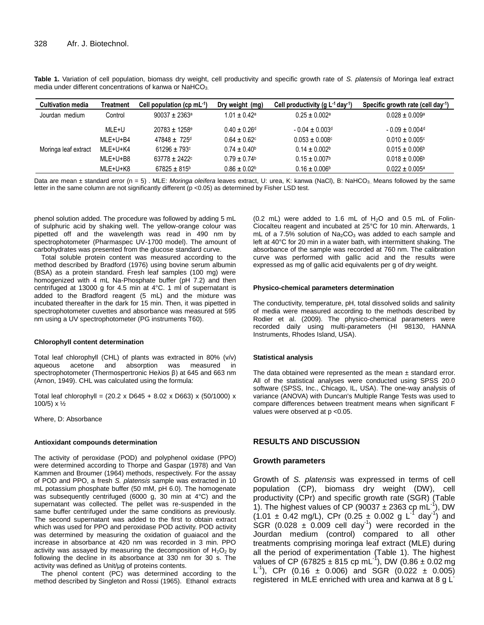| <b>Cultivation media</b> | <b>Treatment</b> | Cell population (cp $mL^{-1}$ ) | Dry weight (mg)              | Cell productivity (g $L^{-1}$ day-1) | Specific growth rate (cell day <sup>-1</sup> ) |
|--------------------------|------------------|---------------------------------|------------------------------|--------------------------------------|------------------------------------------------|
| Jourdan medium           | Control          | $90037 + 2363^{\circ}$          | $1.01 \pm 0.42^a$            | $0.25 \pm 0.002$ <sup>a</sup>        | $0.028 \pm 0.009$ <sup>a</sup>                 |
|                          | MLE+U            | $20783 \pm 1258$ <sup>e</sup>   | $0.40 \pm 0.26$ <sup>d</sup> | $-0.04 \pm 0.003$ <sup>d</sup>       | $-0.09 \pm 0.004$ <sup>d</sup>                 |
|                          | MLE+U+B4         | $47848 \pm 725$ d               | $0.64 \pm 0.62$              | $0.053 \pm 0.008$ c                  | $0.010 \pm 0.005$ c                            |
| Moringa leaf extract     | MLE+U+K4         | $61296 \pm 793$ c               | $0.74 + 0.40b$               | $0.14 \pm 0.002$                     | $0.015 \pm 0.006$ <sup>b</sup>                 |
|                          | MLE+U+B8         | $63778 \pm 2422$                | $0.79 \pm 0.74$              | $0.15 \pm 0.007$ <sup>b</sup>        | $0.018 \pm 0.006$ <sup>b</sup>                 |
|                          | MLE+U+K8         | $67825 \pm 815$ <sup>b</sup>    | $0.86 \pm 0.02^{\circ}$      | $0.16 \pm 0.006^{\circ}$             | $0.022 \pm 0.005$ <sup>a</sup>                 |

**Table 1.** Variation of cell population, biomass dry weight, cell productivity and specific growth rate of *S. platensis* of Moringa leaf extract media under different concentrations of kanwa or  $NafCO<sub>3</sub>$ .

Data are mean ± standard error (n = 5). MLE: *Moringa oleifera* leaves extract, U: urea, K: kanwa (NaCl), B: NaHCO<sub>3</sub>. Means followed by the same letter in the same column are not significantly different (p <0.05) as determined by Fisher LSD test.

phenol solution added. The procedure was followed by adding 5 mL of sulphuric acid by shaking well. The yellow-orange colour was pipetted off and the wavelength was read in 490 nm by spectrophotometer (Pharmaspec UV-1700 model). The amount of carbohydrates was presented from the glucose standard curve.

Total soluble protein content was measured according to the method described by Bradford (1976) using bovine serum albumin (BSA) as a protein standard. Fresh leaf samples (100 mg) were homogenized with 4 mL Na-Phosphate buffer (pH 7.2) and then centrifuged at 13000 g for 4.5 min at 4°C. 1 ml of supernatant is added to the Bradford reagent (5 mL) and the mixture was incubated thereafter in the dark for 15 min. Then, it was pipetted in spectrophotometer cuvettes and absorbance was measured at 595 nm using a UV spectrophotometer (PG instruments T60).

#### **Chlorophyll content determination**

Total leaf chlorophyll (CHL) of plants was extracted in 80% (v/v) aqueous acetone and absorption was measured spectrophotometer (Thermospertronic Heλios β) at 645 and 663 nm (Arnon, 1949). CHL was calculated using the formula:

Total leaf chlorophyll =  $(20.2 \times D645 + 8.02 \times D663) \times (50/1000) \times$ 100/5) x ½

Where, D: Absorbance

#### **Antioxidant compounds determination**

The activity of peroxidase (POD) and polyphenol oxidase (PPO) were determined according to Thorpe and Gaspar (1978) and Van Kammen and Broumer (1964) methods, respectively. For the assay of POD and PPO, a fresh *S. platensis* sample was extracted in 10 mL potassium phosphate buffer (50 mM, pH 6.0). The homogenate was subsequently centrifuged (6000 g, 30 min at 4°C) and the supernatant was collected. The pellet was re-suspended in the same buffer centrifuged under the same conditions as previously. The second supernatant was added to the first to obtain extract which was used for PPO and peroxidase POD activity. POD activity was determined by measuring the oxidation of guaiacol and the increase in absorbance at 420 nm was recorded in 3 min. PPO activity was assayed by measuring the decomposition of  $H_2O_2$  by following the decline in its absorbance at 330 nm for 30 s. The activity was defined as Unit/µg of proteins contents.

The phenol content (PC) was determined according to the method described by Singleton and Rossi (1965). Ethanol extracts

 $(0.2 \text{ mL})$  were added to 1.6 mL of  $H<sub>2</sub>O$  and 0.5 mL of Folin-Ciocalteu reagent and incubated at 25°C for 10 min. Afterwards, 1  $mL$  of a 7.5% solution of  $Na<sub>2</sub>CO<sub>3</sub>$  was added to each sample and left at 40°C for 20 min in a water bath, with intermittent shaking. The absorbance of the sample was recorded at 760 nm. The calibration curve was performed with gallic acid and the results were expressed as mg of gallic acid equivalents per g of dry weight.

#### **Physico-chemical parameters determination**

The conductivity, temperature, pH, total dissolved solids and salinity of media were measured according to the methods described by Rodier et al. (2009). The physico-chemical parameters were recorded daily using multi-parameters (HI 98130, HANNA Instruments, Rhodes Island, USA).

#### **Statistical analysis**

The data obtained were represented as the mean  $\pm$  standard error. All of the statistical analyses were conducted using SPSS 20.0 software (SPSS, Inc., Chicago, IL, USA). The one-way analysis of variance (ANOVA) with Duncan's Multiple Range Tests was used to compare differences between treatment means when significant F values were observed at p <0.05.

# **RESULTS AND DISCUSSION**

#### **Growth parameters**

Growth of *S. platensis* was expressed in terms of cell population (CP), biomass dry weight (DW), cell productivity (CPr) and specific growth rate (SGR) (Table 1). The highest values of CP (90037  $\pm$  2363 cp mL<sup>-1</sup>), DW  $(1.01 \pm 0.42 \text{ mg/L})$ , CPr  $(0.25 \pm 0.002 \text{ g L}^{-1} \text{ day}^{-1})$  and  $SGR$  (0.028  $\pm$  0.009 cell day<sup>-1</sup>) were recorded in the Jourdan medium (control) compared to all other treatments comprising moringa leaf extract (MLE) during all the period of experimentation (Table 1). The highest values of CP (67825  $\pm$  815 cp mL<sup>-1</sup>), DW (0.86  $\pm$  0.02 mg L<sup>1</sup>), CPr (0.16  $\pm$  0.006) and SGR (0.022  $\pm$  0.005) registered in MLE enriched with urea and kanwa at 8 g L<sup>-</sup>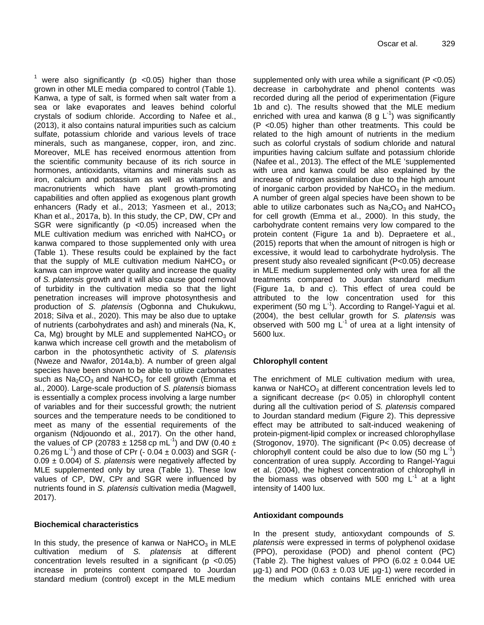<sup>1</sup> were also significantly (p < 0.05) higher than those grown in other MLE media compared to control (Table 1). Kanwa, a type of salt, is formed when salt water from a sea or lake evaporates and leaves behind colorful crystals of sodium chloride. According to Nafee et al., (2013), it also contains natural impurities such as calcium sulfate, potassium chloride and various levels of trace minerals, such as manganese, copper, iron, and zinc. Moreover, MLE has received enormous attention from the scientific community because of its rich source in hormones, antioxidants, vitamins and minerals such as iron, calcium and potassium as well as vitamins and macronutrients which have plant growth-promoting capabilities and often applied as exogenous plant growth enhancers (Rady et al., 2013; Yasmeen et al., 2013; Khan et al., 2017a, b). In this study, the CP, DW, CPr and SGR were significantly (p <0.05) increased when the MLE cultivation medium was enriched with NaHCO<sub>3</sub> or kanwa compared to those supplemented only with urea (Table 1). These results could be explained by the fact that the supply of MLE cultivation medium NaHCO<sub>3</sub> or kanwa can improve water quality and increase the quality of *S. platensis* growth and it will also cause good removal of turbidity in the cultivation media so that the light penetration increases will improve photosynthesis and production of *S. platensis* (Ogbonna and Chukukwu, 2018; Silva et al., 2020). This may be also due to uptake of nutrients (carbohydrates and ash) and minerals (Na, K, Ca, Mg) brought by MLE and supplemented NaHCO $_3$  or kanwa which increase cell growth and the metabolism of carbon in the photosynthetic activity of *S. platensis* (Nweze and Nwafor, 2014a,b). A number of green algal species have been shown to be able to utilize carbonates such as  $Na<sub>2</sub>CO<sub>3</sub>$  and NaHCO<sub>3</sub> for cell growth (Emma et al., 2000). Large-scale production of *S. platensis* biomass is essentially a complex process involving a large number of variables and for their successful growth; the nutrient sources and the temperature needs to be conditioned to meet as many of the essential requirements of the organism (Ndjouondo et al., 2017). On the other hand, the values of CP (20783  $\pm$  1258 cp mL<sup>-1</sup>) and DW (0.40  $\pm$ 0.26 mg L<sup>-1</sup>) and those of CPr (- 0.04  $\pm$  0.003) and SGR (-0.09 ± 0.004) of *S. platensis* were negatively affected by MLE supplemented only by urea (Table 1). These low values of CP, DW, CPr and SGR were influenced by nutrients found in *S. platensis* cultivation media (Magwell, 2017).

# **Biochemical characteristics**

In this study, the presence of kanwa or  $N$ aHCO<sub>3</sub> in MLE cultivation medium of *S. platensis* at different concentration levels resulted in a significant ( $p < 0.05$ ) increase in proteins content compared to Jourdan standard medium (control) except in the MLE medium

supplemented only with urea while a significant (P <0.05) decrease in carbohydrate and phenol contents was recorded during all the period of experimentation (Figure 1b and c). The results showed that the MLE medium enriched with urea and kanwa (8 g  $L^{-1}$ ) was significantly (P <0.05) higher than other treatments. This could be related to the high amount of nutrients in the medium such as colorful crystals of sodium chloride and natural impurities having calcium sulfate and potassium chloride (Nafee et al., 2013). The effect of the MLE 'supplemented with urea and kanwa could be also explained by the increase of nitrogen assimilation due to the high amount of inorganic carbon provided by  $N$ aHCO<sub>3</sub> in the medium. A number of green algal species have been shown to be able to utilize carbonates such as  $Na<sub>2</sub>CO<sub>3</sub>$  and NaHCO<sub>3</sub> for cell growth (Emma et al., 2000). In this study, the carbohydrate content remains very low compared to the protein content (Figure 1a and b). Depraetere et al., (2015) reports that when the amount of nitrogen is high or excessive, it would lead to carbohydrate hydrolysis. The present study also revealed significant (P<0.05) decrease in MLE medium supplemented only with urea for all the treatments compared to Jourdan standard medium (Figure 1a, b and c). This effect of urea could be attributed to the low concentration used for this experiment (50 mg  $L^{-1}$ ). According to Rangel-Yagui et al. (2004), the best cellular growth for *S. platensis* was observed with 500 mg  $L^{-1}$  of urea at a light intensity of 5600 lux.

# **Chlorophyll content**

The enrichment of MLE cultivation medium with urea, kanwa or NaHCO $_3$  at different concentration levels led to a significant decrease (p< 0.05) in chlorophyll content during all the cultivation period of *S. platensis* compared to Jourdan standard medium (Figure 2). This depressive effect may be attributed to salt-induced weakening of protein-pigment-lipid complex or increased chlorophyllase (Strogonov, 1970). The significant (P< 0.05) decrease of chlorophyll content could be also due to low (50 mg  $L^{-1}$ ) concentration of urea supply. According to Rangel-Yagui et al. (2004), the highest concentration of chlorophyll in the biomass was observed with 500 mg  $L^1$  at a light intensity of 1400 lux.

# **Antioxidant compounds**

In the present study, antioxydant compounds of *S. platensis* were expressed in terms of polyphenol oxidase (PPO), peroxidase (POD) and phenol content (PC) (Table 2). The highest values of PPO (6.02  $\pm$  0.044 UE  $\mu$ g-1) and POD (0.63  $\pm$  0.03 UE  $\mu$ g-1) were recorded in the medium which contains MLE enriched with urea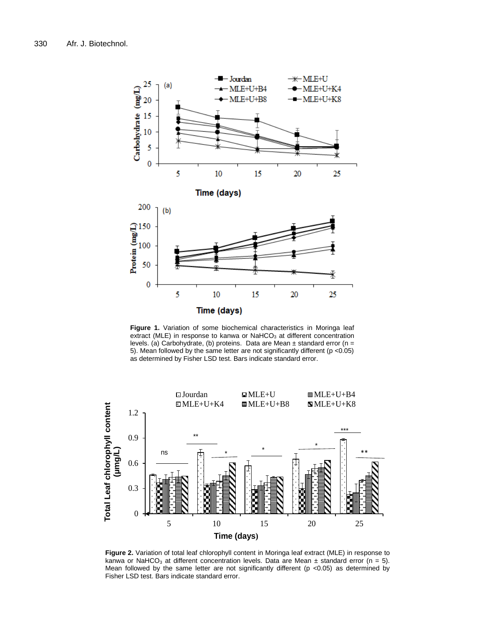

**Figure 1.** Variation of some biochemical characteristics in Moringa leaf extract (MLE) in response to kanwa or NaHCO<sub>3</sub> at different concentration levels. (a) Carbohydrate, (b) proteins. Data are Mean  $\pm$  standard error (n = 5). Mean followed by the same letter are not significantly different (p <0.05) as determined by Fisher LSD test. Bars indicate standard error.



**Figure 2.** Variation of total leaf chlorophyll content in Moringa leaf extract (MLE) in response to kanwa or NaHCO<sub>3</sub> at different concentration levels. Data are Mean  $\pm$  standard error (n = 5). Mean followed by the same letter are not significantly different (p <0.05) as determined by Fisher LSD test. Bars indicate standard error.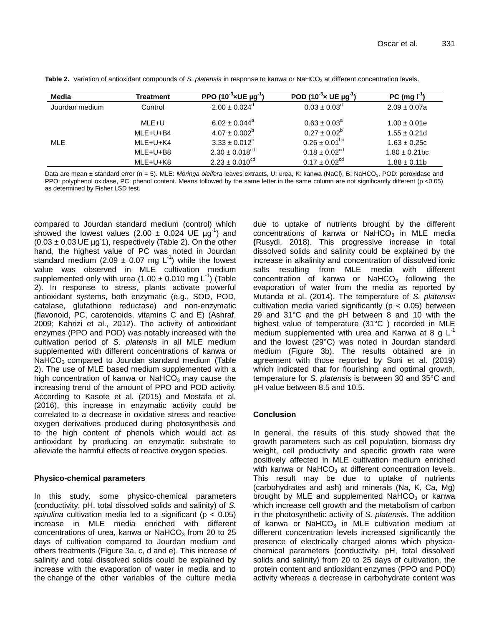| Media          | Treatment | PPO $(10^{-3} \times UE \mu g^{-1})$ | POD (10 <sup>-3</sup> $\times$ UE $\mu$ g <sup>-1</sup> | PC (mg I <sup>-1</sup> |
|----------------|-----------|--------------------------------------|---------------------------------------------------------|------------------------|
| Jourdan medium | Control   | $2.00 \pm 0.024$ <sup>d</sup>        | $0.03 \pm 0.03^d$                                       | $2.09 \pm 0.07a$       |
|                | MLE+U     | $6.02 \pm 0.044$ <sup>a</sup>        | $0.63 \pm 0.03^{\circ}$                                 | $1.00 \pm 0.01e$       |
|                | MLE+U+B4  | $4.07 \pm 0.002^b$                   | $0.27 \pm 0.02^b$                                       | $1.55 \pm 0.21d$       |
| MLE            | MLE+U+K4  | $3.33 \pm 0.012^{\circ}$             | $0.26 \pm 0.01^{bc}$                                    | $1.63 \pm 0.25c$       |
|                | MLE+U+B8  | $2.30 \pm 0.018$ <sup>cd</sup>       | $0.18 \pm 0.02$ <sup>cd</sup>                           | $1.80 \pm 0.21$ bc     |
|                | MLE+U+K8  | $2.23 \pm 0.010^{\text{cd}}$         | $0.17 \pm 0.02$ <sup>cd</sup>                           | $1.88 \pm 0.11$ b      |

Table 2. Variation of antioxidant compounds of *S. platensis* in response to kanwa or NaHCO<sub>3</sub> at different concentration levels.

Data are mean ± standard error (n = 5). MLE: Moringa oleifera leaves extracts, U: urea, K: kanwa (NaCl), B: NaHCO<sub>3</sub>, POD: peroxidase and PPO: polyphenol oxidase, PC: phenol content. Means followed by the same letter in the same column are not significantly different (p <0.05) as determined by Fisher LSD test.

compared to Jourdan standard medium (control) which showed the lowest values (2.00  $\pm$  0.024 UE  $\mu$ g<sup>-1</sup>) and  $(0.03 \pm 0.03 \, \text{UE} \, \mu\text{g} \cdot \text{1})$ , respectively (Table 2). On the other hand, the highest value of PC was noted in Jourdan standard medium (2.09  $\pm$  0.07 mg L<sup>-1</sup>) while the lowest value was observed in MLE cultivation medium supplemented only with urea (1.00  $\pm$  0.010 mg L<sup>-1</sup>) (Table 2). In response to stress, plants activate powerful antioxidant systems, both enzymatic (e.g., SOD, POD, catalase, glutathione reductase) and non-enzymatic (flavonoid, PC, carotenoids, vitamins C and E) (Ashraf, 2009; Kahrizi et al., 2012). The activity of antioxidant enzymes (PPO and POD) was notably increased with the cultivation period of *S. platensis* in all MLE medium supplemented with different concentrations of kanwa or  $N$ aHCO<sub>3</sub> compared to Jourdan standard medium (Table 2). The use of MLE based medium supplemented with a high concentration of kanwa or  $N$ aHCO<sub>3</sub> may cause the increasing trend of the amount of PPO and POD activity. According to Kasote et al. (2015) and Mostafa et al. (2016), this increase in enzymatic activity could be correlated to a decrease in oxidative stress and reactive oxygen derivatives produced during photosynthesis and to the high content of phenols which would act as antioxidant by producing an enzymatic substrate to alleviate the harmful effects of reactive oxygen species.

# **Physico-chemical parameters**

In this study, some physico-chemical parameters (conductivity, pH, total dissolved solids and salinity) of *S. spirulina* cultivation media led to a significant (p < 0.05) increase in MLE media enriched with different concentrations of urea, kanwa or  $N$ aHCO<sub>3</sub> from 20 to 25 days of cultivation compared to Jourdan medium and others treatments (Figure 3a, c, d and e). This increase of salinity and total dissolved solids could be explained by increase with the evaporation of water in media and to the change of the other variables of the culture media due to uptake of nutrients brought by the different concentrations of kanwa or NaHCO $_3$  in MLE media **(**Rusydi, 2018). This progressive increase in total dissolved solids and salinity could be explained by the increase in alkalinity and concentration of dissolved ionic salts resulting from MLE media with different concentration of kanwa or  $N$ aHCO<sub>3</sub> following the evaporation of water from the media as reported by Mutanda et al. (2014). The temperature of *S. platensis* cultivation media varied significantly ( $p < 0.05$ ) between 29 and 31°C and the pH between 8 and 10 with the highest value of temperature (31°C ) recorded in MLE medium supplemented with urea and Kanwa at 8  $q L^{-1}$ and the lowest (29°C) was noted in Jourdan standard medium (Figure 3b). The results obtained are in agreement with those reported by Soni et al. (2019) which indicated that for flourishing and optimal growth, temperature for *S. platensis* is between 30 and 35°C and pH value between 8.5 and 10.5.

# **Conclusion**

In general, the results of this study showed that the growth parameters such as cell population, biomass dry weight, cell productivity and specific growth rate were positively affected in MLE cultivation medium enriched with kanwa or NaHCO $_3$  at different concentration levels. This result may be due to uptake of nutrients (carbohydrates and ash) and minerals (Na, K, Ca, Mg) brought by MLE and supplemented NaHCO $_3$  or kanwa which increase cell growth and the metabolism of carbon in the photosynthetic activity of *S. platensis*. The addition of kanwa or NaHCO $_3$  in MLE cultivation medium at different concentration levels increased significantly the presence of electrically charged atoms which physicochemical parameters (conductivity, pH, total dissolved solids and salinity) from 20 to 25 days of cultivation, the protein content and antioxidant enzymes (PPO and POD) activity whereas a decrease in carbohydrate content was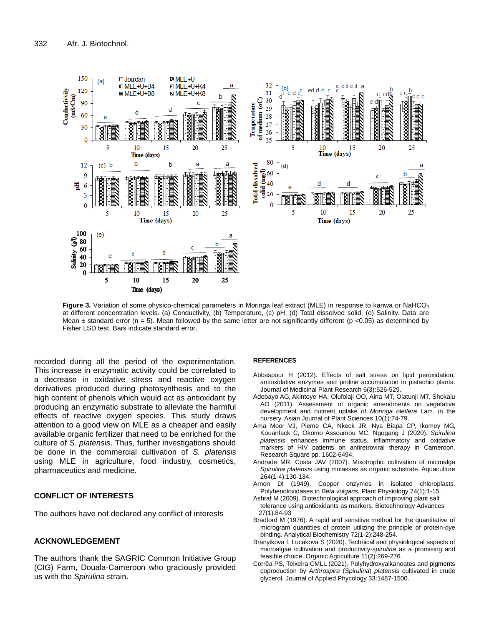

**Figure 3.** Variation of some physico-chemical parameters in Moringa leaf extract (MLE) in response to kanwa or NaHCO<sub>3</sub> at different concentration levels. (a) Conductivity, (b) Temperature, (c) pH, (d) Total dissolved solid, (e) Salinity. Data are Mean  $\pm$  standard error (n = 5). Mean followed by the same letter are not significantly different (p <0.05) as determined by Fisher LSD test. Bars indicate standard error.

recorded during all the period of the experimentation. This increase in enzymatic activity could be correlated to a decrease in oxidative stress and reactive oxygen derivatives produced during photosynthesis and to the high content of phenols which would act as antioxidant by producing an enzymatic substrate to alleviate the harmful effects of reactive oxygen species. This study draws attention to a good view on MLE as a cheaper and easily available organic fertilizer that need to be enriched for the culture of *S. platensis*. Thus, further investigations should be done in the commercial cultivation of *S. platensis* using MLE in agriculture, food industry, cosmetics, pharmaceutics and medicine.

# **CONFLICT OF INTERESTS**

The authors have not declared any conflict of interests

# **ACKNOWLEDGEMENT**

The authors thank the SAGRIC Common Initiative Group (CIG) Farm, Douala-Cameroon who graciously provided us with the *Spirulina* strain.

### **REFERENCES**

- Abbaspour H (2012). Effects of salt stress on lipid peroxidation, antioxidative enzymes and proline accumulation in pistachio plants. Journal of Medicinal Plant Research 6(3):526-529.
- Adebayo AG, Akintoye HA, Olufolaji OO, Aina MT, Olatunji MT, Shokalu AO (2011). Assessment of organic amendments on vegetative development and nutrient uptake of *Moringa oleifera* Lam. in the nursery. Asian Journal of Plant Sciences 10(1):74-79.
- Ama Moor VJ, Pieme CA, Nkeck JR, Nya Biapa CP, Ikomey MG, Kouanfack C, Okomo Assoumou MC, Ngogang J (2020). *Spirulina platensis* enhances immune status, inflammatory and oxidative markers of HIV patients on antiretroviral therapy in Cameroon. Research Square pp. 1602-6494.
- Andrade MR, Costa JAV (2007). Mixotrophic cultivation of microalga *Spirulina platensis* using molasses as organic substrate. Aquaculture 264(1-4):130-134.
- Arnon DI (1949). Copper enzymes in isolated chloroplasts. Polyhenoloxidases in *Beta vulgaris.* Plant Physiology 24(1):1-15.
- Ashraf M (2009). Biotechnological approach of improving plant salt tolerance using antioxidants as markers. Biotechnology Advances 27(1):84-93
- Bradford M (1976). A rapid and sensitive method for the quantitative of microgram quantities of protein utilizing the principle of protein-dye binding. Analytical Biochemistry 72(1-2):248-254.
- Branyikova I, Lucakova S (2020). Technical and physiological aspects of microalgae cultivation and productivity-*spirulina* as a promising and feasible choice. Organic Agriculture 11(2):269-276.
- Corrêa PS, Teixeira CMLL (2021). Polyhydroxyalkanoates and pigments coproduction by *Arthrospira* (*Spirulina*) *platensis* cultivated in crude glycerol. Journal of Applied Phycology 33:1487-1500.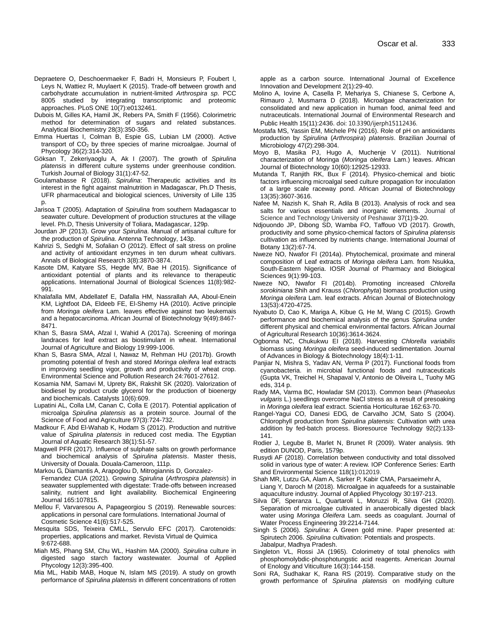- Depraetere O, Deschoenmaeker F, Badri H, Monsieurs P, Foubert I, Leys N, Wattiez R, Muylaert K (2015). Trade-off between growth and carbohydrate accumulation in nutrient-limited *Arthrospira sp*. PCC 8005 studied by integrating transcriptomic and proteomic approaches. PLoS ONE 10(7):e0132461.
- Dubois M, Gilles KA, Hamil JK, Rebers PA, Smith F (1956). Colorimetric method for determination of sugars and related substances. Analytical Biochemistry 28(3):350-356.
- Emma Huertas I, Colman B, Espie GS, Lubian LM (2000). Active transport of CO<sub>2</sub> by three species of marine microalgae. Journal of Phycology 36(2):314-320.
- Göksan T, Zekeriyaoglu A, Ak I (2007). The growth of *Spirulina platensis* in different culture systems under greenhouse condition. Turkish Journal of Biology 31(1):47-52.
- Goulamabasse R (2018). *Spirulina*: Therapeutic activities and its interest in the fight against malnutrition in Madagascar, Ph.D Thesis, UFR pharmaceutical and biological sciences, University of Lille 135 p.
- Jarisoa T (2005). Adaptation of *Spirulina* from southern Madagascar to seawater culture. Development of production structures at the village level. Ph.D, Thesis University of Toliara, Madagascar, 129p.
- Jourdan JP (2013). Grow your *Spirulina*. Manual of artisanal culture for the production of *Spirulina*. Antenna Technology, 143p.
- Kahrizi S, Sedghi M, Sofalian O (2012). Effect of salt stress on proline and activity of antioxidant enzymes in ten durum wheat cultivars. Annals of Biological Research 3(8):3870-3874.
- Kasote DM, Katyare SS, Hegde MV, Bae H (2015). Significance of antioxidant potential of plants and its relevance to therapeutic applications. International Journal of Biological Sciences 11(8):982- 991.
- Khalafalla MM, Abdellatef E, Dafalla HM, Nassrallah AA, Aboul-Enein KM, Lightfoot DA, Eldeeb FE, El-Shemy HA (2010). Active principle from *Moringa oleifera* Lam. leaves effective against two leukemais and a hepatocarcinoma. African Journal of Biotechnology 9(49):8467- 8471.
- Khan S, Basra SMA, Afzal I, Wahid A (2017a). Screening of moringa landraces for leaf extract as biostimulant in wheat. International Journal of Agriculture and Biology 19:999-1006.
- Khan S, Basra SMA, Afzal I, Nawaz M, Rehman HU (2017b). Growth promoting potential of fresh and stored *Moringa oleifera* leaf extracts in improving seedling vigor, growth and productivity of wheat crop. Environmental Science and Pollution Research 24:7601-27612.
- Kosamia NM, Samavi M, Uprety BK, Rakshit SK (2020). Valorization of biodiesel by product crude glycerol for the production of bioenergy and biochemicals. Catalysts 10(6):609.
- Lupatini AL, Colla LM, Canan C, Colla E (2017). Potential application of microalga *Spirulina platensis* as a protein source. Journal of the Science of Food and Agriculture 97(3):724-732.
- Madkour F, Abd El-Wahab K, Hodam S (2012). Production and nutritive value of *Spirulina platensis* in reduced cost media. The Egyptian Journal of Aquatic Research 38(1):51-57.
- Magwell PFR (2017). Influence of sulphate salts on growth performance and biochemical analysis of *Spirulina platensis*. Master thesis, University of Douala. Douala-Cameroon, 111p.
- Markou G, Diamantis A, Arapoglou D, Mitrogiannis D, Gonzalez-Fernandez CUA (2021). Growing *Spirulina* (*Arthrospira platensis*) in seawater supplemented with digestate: Trade-offs between increased salinity, nutrient and light availability. Biochemical Engineering Journal 165:107815.
- Mellou F, Varvaresou A, Papageorgiou S (2019). Renewable sources: applications in personal care formulations. International Journal of Cosmetic Science 41(6):517-525.
- Mesquita SDS, Teixeira CMLL, Servulo EFC (2017). Carotenoids: properties, applications and market. Revista Virtual de Quimica 9:672-688.
- Miah MS, Phang SM, Chu WL, Hashim MA (2000). *Spirulina* culture in digested sago starch factory wastewater. Journal of Applied Phycology 12(3):395-400.
- Mia ML, Habib MAB, Hoque N, Islam MS (2019). A study on growth performance of *Spirulina platensis* in different concentrations of rotten

apple as a carbon source. International Journal of Excellence Innovation and Development 2(1):29-40.

- Molino A, Iovine A, Casella P, Mehariya S, Chianese S, Cerbone A, Rimauro J, Musmarra D (2018). Microalgae characterization for consolidated and new application in human food, animal feed and nutraceuticals. International Journal of Environmental Research and Public Health 15(11):2436. doi: 10.3390/ijerph15112436.
- Mostafa MS, Yassin EM, Michele PN (2016). Role of pH on antioxidants production by *Spirulina* (*Arthrospira*) *platensis*. Brazilian Journal of Microbiology 47(2):298-304.
- Moyo B, Masika PJ, Hugo A, Muchenje V (2011). Nutritional characterization of Moringa (*Moringa oleifera* Lam.) leaves. African Journal of Biotechnology 10(60):12925-12933.
- Mutanda T, Ranjith RK, Bux F (2014). Physico-chemical and biotic factors influencing microalgal seed culture propagation for inoculation of a large scale raceway pond. African Journal of Biotechnology 13(35):3607-3616.
- Nafee M, Nazish K, Shah R, Adila B (2013). Analysis of rock and sea salts for various essentials and inorganic elements. Journal of Science and Technology University of Peshawar 37(1):9-20.
- Ndjouondo JP, Dibong SD, Wamba FO, Taffouo VD (2017). Growth, productivity and some physico-chemical factors of *Spirulina platensis*  cultivation as influenced by nutrients change. International Journal of Botany 13(2):67-74.
- Nweze NO, Nwafor FI (2014a). Phytochemical, proximate and mineral composition of Leaf extracts of *Moringa oleifera* Lam. from Nsukka, South-Eastern Nigeria. IOSR Journal of Pharmacy and Biological Sciences 9(1):99-103.
- Nweze NO, Nwafor FI (2014b). Promoting increased *Chlorella sorokiniana* Shih and Krauss (*Chlorophyta*) biomass production using *Moringa oleifera* Lam. leaf extracts. African Journal of Biotechnology 13(53):4720-4725.
- Nyabuto D, Cao K, Mariga A, Kibue G, He M, Wang C (2015). Growth performance and biochemical analysis of the genus *Spirulina* under different physical and chemical environmental factors. African Journal of Agricultural Research 10(36):3614-3624.
- Ogbonna NC, Chukukwu EI (2018). Harvesting *Chlorella variabilis* biomass using *Moringa oleifera* seed-induced sedimentation. Journal of Advances in Biology & Biotechnology 18(4):1-11.
- Panjiar N, Mishra S, Yadav AN, Verma P (2017). Functional foods from cyanobacteria. in microbial functional foods and nutraceuticals (Gupta VK, Treichel H, Shapaval V, Antonio de Oliveira L, Tuohy MG eds, 314 p.
- Rady MA, Varma BC, Howladar SM (2013). Common bean (*Phaseolus vulgaris* L.) seedlings overcome NaCl stress as a result of presoaking in *Moringa oleifera* leaf extract. Scientia Horticulturae 162:63-70.
- Rangel-Yagui CO, Danesi EDG, de Carvalho JCM, Sato S (2004). Chlorophyll production from *Spirulina platensis*: Cultivation with urea addition by fed-batch process. Bioresource Technology 92(2):133- 141.
- Rodier J, Legube B, Marlet N, Brunet R (2009). Water analysis. 9th edition DUNOD, Paris, 1579p.
- Rusydi AF (2018). Correlation between conductivity and total dissolved solid in various type of water: A review. IOP Conference Series: Earth and Environmental Science 118(1):012019.
- Shah MR, Lutzu GA, Alam A, Sarker P, Kabir CMA, Parsaeimehr A, Liang Y, Daroch M (2018). Microalgae in aquafeeds for a sustainable aquaculture industry. Journal of Applied Phycology 30:197-213.
- Silva DF, Speranza L, Quartaroli L, Moruzzi R, Silva GH (2020). Separation of microalgae cultivated in anaerobically digested black water using *Moringa Oleifera* Lam. seeds as coagulant. Journal of Water Process Engineering 39:2214-7144.
- Singh S (2006). *Spirulina*: A Green gold mine. Paper presented at: Spirutech 2006. *Spirulina* cultivation: Potentials and prospects. Jabalpur, Madhya Pradesh.
- Singleton VL, Rossi JA (1965). Colorimetry of total phenolics with phosphomolybdic-phosphotungstic acid reagents. American Journal of Enology and Viticulture 16(3):144-158.
- Soni RA, Sudhakar K, Rana RS (2019). Comparative study on the growth performance of *Spirulina platensis* on modifying culture